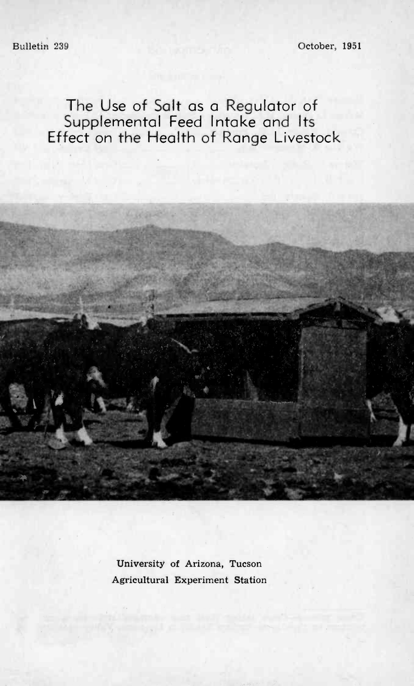Bulletin 239 October, 1951

The Use of Salt as a Regulator of Supplemental Feed Intake and Its Effect on the Health of Range Livestock

> University of Arizona, Tucson Agricultural Experiment Station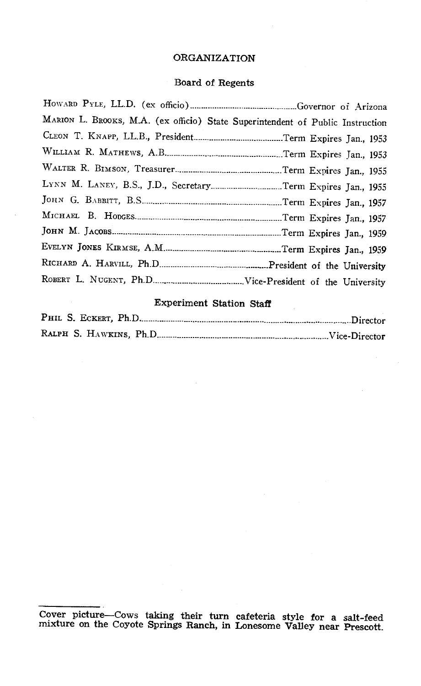### ORGANIZATION

# Board of Regents

| MARION L. BROOKS, M.A. (ex officio) State Superintendent of Public Instruction |
|--------------------------------------------------------------------------------|
|                                                                                |
|                                                                                |
|                                                                                |
| LYNN M. LANEY, B.S., J.D., SecretaryTerm Expires Jan., 1955                    |
|                                                                                |
|                                                                                |
|                                                                                |
|                                                                                |
|                                                                                |
|                                                                                |
|                                                                                |

# Experiment Station Staff

Cover picture -Cows taking their turn cafeteria style for a salt -feed mixture on the Coyote Springs Ranch, in Lonesome Valley near Prescott.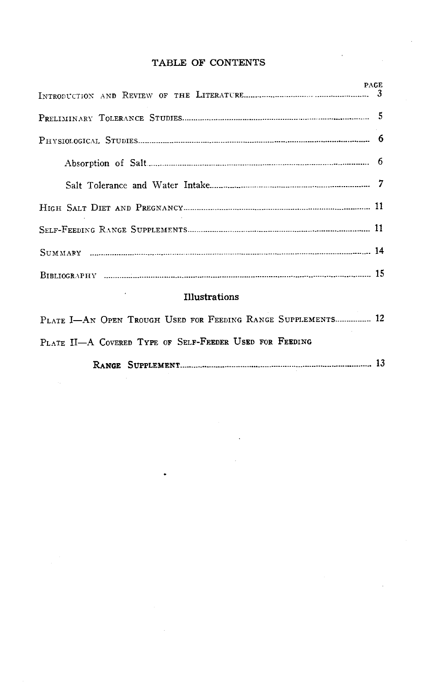### TABLE OF CONTENTS

|                                                              | <b>PAGE</b> |
|--------------------------------------------------------------|-------------|
|                                                              |             |
|                                                              |             |
|                                                              |             |
|                                                              |             |
|                                                              |             |
|                                                              |             |
|                                                              |             |
|                                                              |             |
|                                                              |             |
| <b>Illustrations</b>                                         |             |
| PLATE I-AN OPEN TROUGH USED FOR FEEDING RANGE SUPPLEMENTS 12 |             |
| PLATE II-A COVERED TYPE OF SELF-FREDER USED FOR FEEDING      |             |
|                                                              |             |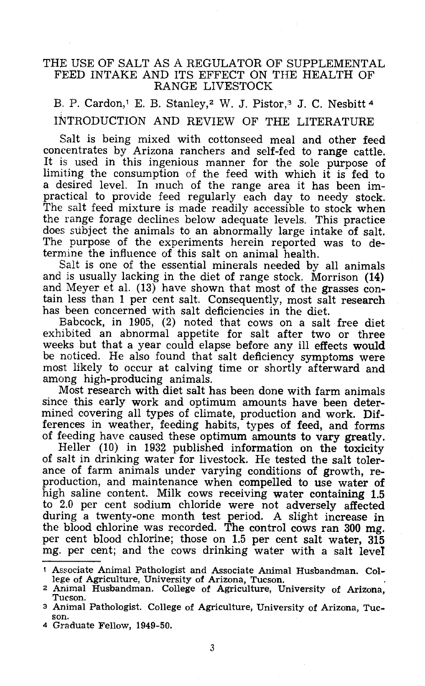### THE USE OF SALT AS A REGULATOR OF SUPPLEMENTAL FEED INTAKE AND ITS EFFECT ON THE HEALTH OF RANGE LIVESTOCK

B. P. Cardon,<sup>1</sup> E. B. Stanley,<sup>2</sup> W. J. Pistor,<sup>3</sup> J. C. Nesbitt<sup>4</sup> INTRODUCTION AND REVIEW OF THE LITERATURE

Salt is being mixed with cottonseed meal and other feed concentrates by Arizona ranchers and self-fed to range cattle. It is used in this ingenious manner for the sole purpose of limiting the consumption of the feed with which it is fed to a desired level. In much of the range area it has been impractical to provide feed regularly each day to needy stock.<br>The salt feed mixture is made readily accessible to stock when<br>the range forage declines below adequate levels. This practice does subject the animals to an abnormally large intake of salt.<br>The purpose of the experiments herein reported was to determine the influence of this salt on animal health.<br>Salt is one of the essential minerals needed by all animals

and is usually lacking in the diet of range stock. Morrison  $(14)$  and Meyer et al.  $(13)$  have shown that most of the grasses contain less than 1 per cent salt. Consequently, most salt research has been concerned with salt deficiencies in the diet.<br>Babcock, in 1905, (2) noted that cows on a salt free diet

exhibited an abnormal appetite for salt after two or three weeks but that a year could elapse before any ill effects would be noticed. He also found that salt deficiency symptoms were most likely to occur at calving time o

Most research with diet salt has been done with farm animals. since this early work and optimum amounts have been determined covering all types of climate, production and work. Differences in weather, feeding habits, types of feed, and forms of feeding have caused these optimum amoun

ance of farm animals under varying conditions of growth, re-<br>production, and maintenance when compelled to use water of<br>high saline content. Milk cows receiving water containing 1.5 to 2.0 per cent sodium chloride were not adversely affected during a twenty-one month test period. A slight increase in the blood chlorine was recorded. The control cows ran 300 mg. per cent blood chlorine; those on 1.5 per cent salt water, 315 mg. per cent; and the cows drinking water with a salt level

<sup>4</sup> Graduate Fellow, 1949 -50.

Associate Animal Pathologist and Associate Animal Husbandman. College of Agriculture, University of Arizona, Tucson.

<sup>2</sup> Animal Husbandman. College of Agriculture, University of Arizona, Tucson.

<sup>3</sup> Animal Pathologist. College of Agriculture, University of Arizona, Tuc- son.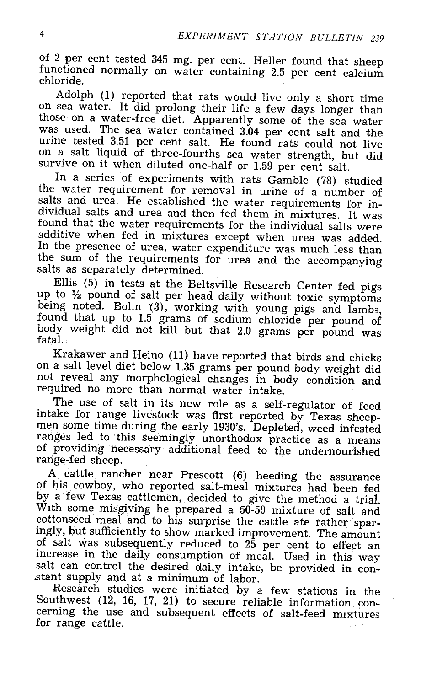of 2 per cent tested 345 mg. per cent. Heller found that sheep functioned normally on water containing 2.5 per cent calcium<br>chloride.<br>Adolph (1) reported that rats would live only a short time

Adolph (1) reported that rats would live only a short time on sea water. It did prolong their life a few days longer than those on a water -free diet. Apparently some of the sea water was used. The sea water contained 3.04 per cent salt and the urine tested 3.51 per cent salt. He found rats could not live on a salt liquid of three-fourths sea water strength, but did survive on it when diluted one-half o

In a series of experiments with rats Gamble (78) studied<br>the water requirement for removal in urine of a number of<br>salts and urea. He established the water requirements for in-<br>dividual salts and urea and then fed them in

up to 1/2 pound of salt per head daily without toxic symptoms<br>being noted. Bolin (3), working with young pigs and lambs,<br>found that up to 1.5 grams of sodium chloride per pound of<br>body weight did not kill but that 2.0 gram

Krakawer and Heino (11) have reported that birds and chicks<br>on a salt level diet below 1.35 grams per pound body weight did<br>not reveal any morphological changes in body condition and<br>required no more than normal water inta

The use of salt in its new role as a self-regulator of feed intake for range livestock was first reported by Texas sheep-<br>men some time during the early 1930's. Depleted, weed infested ranges led to this seemingly unorthodox practice as a means<br>of providing necessary additional feed to the undernourished<br>range-fed sheep.<br>A cattle rancher near Prescott (6) heeding the assurance

of his cowboy, who reported salt-meal mixtures had been fed<br>by a few Texas cattlemen, decided to give the method a trial.<br>With some misgiving he prepared a 50-50 mixture of salt and<br>cottonseed meal and to his surprise the of salt was subsequently reduced to  $25$  per cent to effect an increase in the daily consumption of meal. Used in this way salt can control the desired daily intake, be provided in constant supply and at a minimum of labor.<br>Research studies were initiated by a few stations in the

Southwest (12, 16, 17, 21) to secure reliable information concerning the use and subsequent effects of salt -feed mixtures for range cattle.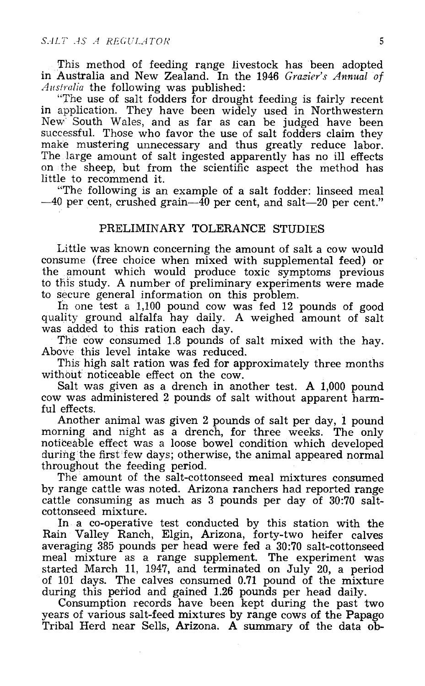This method of feeding range livestock has been adopted in Australia and New Zealand. In the 1946 Grazier's Annual of Australia the following was published:

The use of salt fodders for drought feeding is fairly recent in application. They have been widely used in Northwestern New South Wales, and as far as can be judged have been successful. Those who favor the use of salt fod make mustering unnecessary and thus greatly reduce labor.<br>The large amount of salt ingested apparently has no ill effects<br>on the sheep, but from the scientific aspect the method has little to recommend it.<br>"The following is an example of a salt fodder: linseed meal"

 $-40$  per cent, crushed grain  $-40$  per cent, and salt -20 per cent."

### PRELIMINARY TOLERANCE STUDIES

Little was known concerning the amount of salt a cow would consume (free choice when mixed with supplemental feed) or the amount which would produce toxic symptoms previous to this study. A number of preliminary experiments were made to secure general information on this problem.

In one test a 1,100 pound cow was fed 12 pounds of good<br>quality ground alfalfa hay daily. A weighed amount of salt<br>was added to this ration each day.<br>The cow consumed 1.8 pounds of salt mixed with the hay.<br>Above this level

This high salt ration was fed for approximately three months without noticeable effect on the cow.

Salt was given as a drench in another test. A 1,000 pound cow was administered 2 pounds of salt without apparent harmful effects.<br>Another animal was given 2 pounds of salt per day, 1 pound

morning and night as a drench, for three weeks. The only noticeable effect was a loose bowel condition which developed during the first few days; otherwise, the animal appeared normal throughout the feeding period. The amount of the salt- cottonseed meal mixtures consumed

by range cattle was noted. Arizona ranchers had reported range cattle consuming as much as 3 pounds per day of 30:70 salt-cottonseed mixture.<br>In a co-operative test conducted by this station with the

In a co-operative test conducted by this station with the<br>Rain Valley Ranch, Elgin, Arizona, forty-two heifer calves<br>averaging 385 pounds per head were fed a 30:70 salt-cottonseed<br>meal mixture as a range supplement. The ex started March 11, 1947, and terminated on July 20, a period of 101 days. The calves consumed 0.71 pound of the mixture during this period and gained 1.26 pounds per head daily. Consumption records have been kept during the past two

years of various salt -feed mixtures by range cows of the Papago Tribal Herd near Sells, Arizona. A summary of the data ob-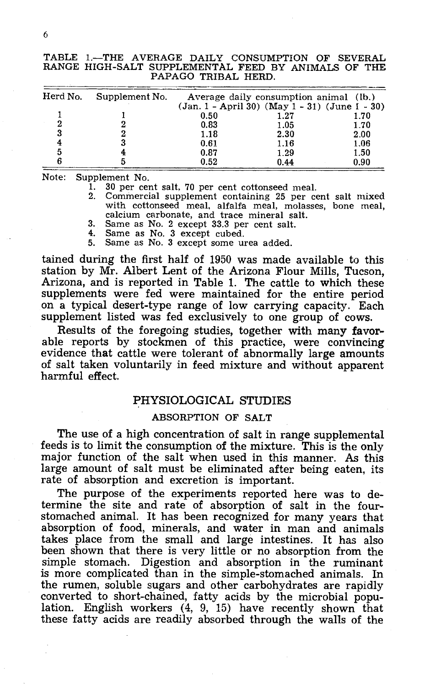|  | TABLE 1.-THE AVERAGE DAILY CONSUMPTION OF SEVERAL   |                     |  |  |  |  |
|--|-----------------------------------------------------|---------------------|--|--|--|--|
|  | RANGE HIGH-SALT SUPPLEMENTAL FEED BY ANIMALS OF THE |                     |  |  |  |  |
|  |                                                     | PAPAGO TRIBAL HERD. |  |  |  |  |

| Herd No. | Supplement No. |      | Average daily consumption animal (lb.)               |      |
|----------|----------------|------|------------------------------------------------------|------|
|          |                |      | $(Jan. 1 - April 30)$ $(May 1 - 31)$ $(June 1 - 30)$ |      |
|          |                | 0.50 | 1.27                                                 | 1.70 |
|          |                | 0.83 | 1.05                                                 | 1.70 |
|          |                | 1.18 | 2.30                                                 | 2.00 |
|          |                | 0.61 | 1.16                                                 | 1.06 |
|          |                | 0.87 | 1.29                                                 | 1.50 |
|          |                | 0.52 | 0.44                                                 | 0.90 |

Note: Supplement No.<br>1. 30 per cer

1. 30 per cent salt, 70 per cent cottonseed meal.<br>2. Commercial supplement containing 25 per cent salt mixed 2. Commercial supplement containing 25 per cent salt meal, molasses, bone meal, calcium carbonate, and trace mineral salt.<br>3. Same as No. 2 except 33.3 per cent salt.

- 3. Same as No. 2 except 33.3 per cent salt.
- 4. Same as No. 3 except cubed.
- 5. Same as No. 3 except some urea added.

tained during the first half of 1950 was made available to this station by Mr. Albert Lent of the Arizona Flour Mills, Tucson, Arizona, and is reported in Table 1. The cattle to which these supplements were fed were maintained for the entire period on a typical desert -type range of low carrying capacity. Each supplement listed was fed exclusively to one group of cows.

Results of the foregoing studies, together with many favor-<br>able reports by stockmen of this practice, were convincing evidence that cattle were tolerant of abnormally large amounts of salt taken voluntarily in feed mixture and without apparent harmful effect.

### PHYSIOLOGICAL STUDIES

#### ABSORPTION OF SALT

The use of a high concentration of salt in range supplemental feeds is to limit the consumption of the mixture. This is the only major function of the salt when used in this manner. As this large amount of salt must be eliminated after being eaten, its rate of absorption and excretion is important.

The purpose of the experiments reported here was to determine the site and rate of absorption of salt in the fourstomached animal. It has been recognized for many years that absorption of food, minerals, and water in man and animals takes place from the small and large intestines. It has also been shown that there is very little or no absorption from the simple stomach. Digestion and absorption in the ruminant is more complicated than in the simple- stomached animals. In the rumen, soluble sugars and other carbohydrates are rapidly converted to short -chained, fatty acids by the microbial population. English workers (4, 9, 15) have recently shown that these fatty acids are readily absorbed through the walls of the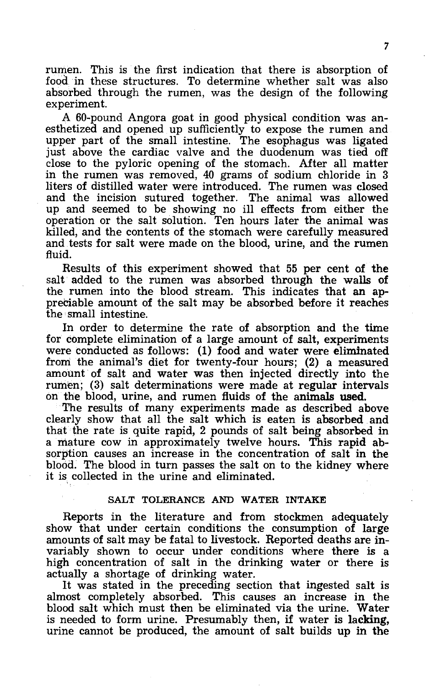rumen. This is the first indication that there is absorption of food in these structures. To determine whether salt was also absorbed through the rumen, was the design of the following experiment.

A 60 -pound Angora goat in good physical condition was an- esthetized and opened up sufficiently to expose the rumen and upper part of the small intestine. The esophagus was ligated just above the cardiac valve and the duodenum was tied off close to the pyloric opening of the stomach. After all matter close to the pyloric opening of the stomach. After all matter<br>in the rumen was removed, 40 grams of sodium chloride in 3 liters of distilled water were introduced. The rumen was closed up and seemed to be showing no ill effects from either the operation or the salt solution. Ten hours later the animal was killed, and the contents of the stomach were carefully measured and tests for salt were made on the blood, urine, and the rumen fluid.

Results of this experiment showed that 55 per cent of the salt added to the rumen was absorbed through the walls of the rumen into the blood stream. This indicates that an appreciable amount of the salt may be absorbed before it reaches the small intestine.

In order to determine the rate of absorption and the time for complete elimination of a large amount of salt, experiments for complete elimination of a large amount of salt, experiments were conducted as follows: (1) food and water were eliminated from the animal's diet for twenty -four hours; (2) a measured amount of salt and water was then injected directly into the rumen; (3) salt determinations were made at regular intervals<br>on the blood, urine, and rumen fluids of the animals used.<br>The results of many experiments made as described above<br>clearly show that all the salt which is eaten

that the rate is quite rapid, 2 pounds of salt being absorbed in a mature cow in approximately twelve hours. This rapid absorption causes an increase in the concentration of salt in the blood. The blood in turn passes the salt on to the kidney where it is collected in the urine and eliminated.

#### SALT TOLERANCE AND WATER INTAKE

Reports in the literature and from stockmen adequately show that under certain conditions the consumption of large amounts of salt may be fatal to livestock. Reported deaths are invariably shown to occur under conditions where there is a<br>high concentration of salt in the drinking water or there is<br>actually a shortage of drinking water.<br>It was stated in the preceding section that ingested salt is<br>alm

is needed to form urine. Presumably then, if water is lacking, urine cannot be produced, the amount of salt builds up in the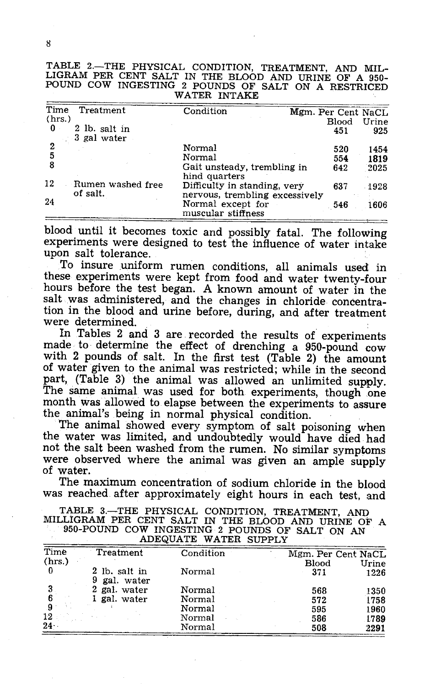| TABLE 2.-THE PHYSICAL CONDITION, TREATMENT, AND MIL-  |  |
|-------------------------------------------------------|--|
| LIGRAM PER CENT SALT IN THE BLOOD AND URINE OF A 950- |  |
| POUND COW INGESTING 2 POUNDS OF SALT ON A RESTRICED   |  |
| WATER INTAKE                                          |  |
|                                                       |  |

| Time<br>Treatment                   | Condition                                                      | Mgm. Per Cent NaCL |       |
|-------------------------------------|----------------------------------------------------------------|--------------------|-------|
| (hrs.)                              |                                                                | Blood              | Urine |
| 0<br>2 lb. salt in<br>3 gal water   |                                                                | 451                | 925   |
| 2                                   | Normal                                                         | 520                | 1454  |
|                                     | Normal                                                         | 554                | 1819  |
|                                     | Gait unsteady, trembling in<br>hind quarters                   | 642                | 2025  |
| 12<br>Rumen washed free<br>of salt. | Difficulty in standing, very<br>nervous, trembling excessively | 637                | 1928  |
| 24                                  | Normal except for<br>muscular stiffness                        | 546                | 1606  |

blood until it becomes toxic and possibly fatal. The following experiments were designed to test the influence of water intake upon salt tolerance.

To insure uniform rumen conditions, all animals used in these experiments were kept from food and water twenty-four hours before the test began. A known amount of water in the salt was administered, and the changes in chloride concentration in the blood and urine before, during, and after treatment<br>were determined. In Tables 2 and 3 are recorded the results of experiments

made to determine the effect of drenching a 950-pound cow with 2 pounds of salt. In the first test (Table 2) the amount of water given to the animal was restricted; while in the second part, (Table 3) the animal was allowed an unlimited supply.<br>The same animal was used for both experiments, though one month was allowed to elapse between the experiments to assure the animal's being in normal physical condition.<br>The animal showed every symptom of salt poisoning when

the water was limited, and undoubtedly would have died had not the salt been washed from the rumen. No similar symptoms were observed where the animal was given an ample supply of water.

The maximum concentration of sodium chloride in the blood was reached after approximately eight hours in each test, and

| TABLE 3.-THE PHYSICAL CONDITION, TREATMENT, AND     |
|-----------------------------------------------------|
| MILLIGRAM PER CENT SALT IN THE BLOOD AND URINE OF A |
| 950-POUND COW INGESTING 2 POUNDS OF SALT ON AN      |
| ADEQUATE WATER SUPPLY                               |

| Time   | Treatment                     | Condition | Mgm. Per Cent NaCL |       |
|--------|-------------------------------|-----------|--------------------|-------|
| (hrs.) |                               |           | <b>Blood</b>       | Urine |
| 0      | 2 lb. salt in<br>9 gal. water | Normal    | 371                | 1226  |
|        | 2 gal. water                  | Normal    | 568                | 1350  |
|        | gal. water                    | Normal    | 572                | 1758  |
|        |                               | Normal    | 595                | 1960  |
| 12     |                               | Normal    | 586                | 1789  |
| $24 -$ |                               | Normal    | 508                | 2291  |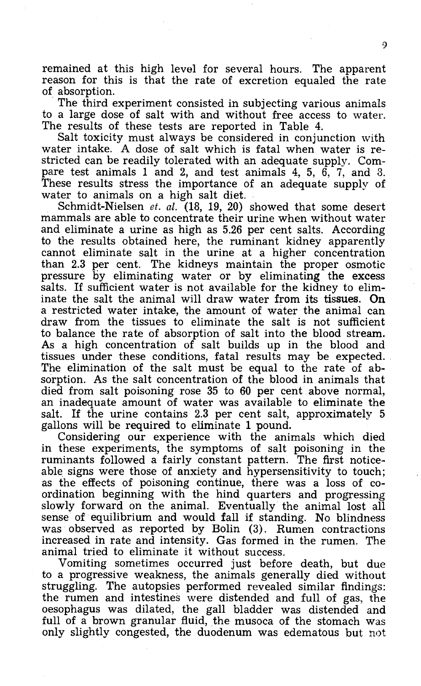remained at this high level for several hours. The apparent reason for this is that the rate of excretion equaled the rate of absorption.

The third experiment consisted in subjecting various animals

to a large dose of salt with and without free access to water.<br>The results of these tests are reported in Table 4.<br>Salt toxicity must always be considered in conjunction with<br>water intake. A dose of salt which is fatal whe pare test animals 1 and 2, and test animals 4, 5,  $\overline{6}$ ,  $\overline{7}$ , and 8.<br>These results stress the importance of an adequate supply of water to animals on a high salt diet.<br>Schmidt-Nielsen *et. al.* (18, 19, 20) showed

and eliminate a urine as high as 5.26 per cent salts. According to the results obtained here, the ruminant kidney apparently cannot eliminate salt in the urine at a higher concentration than 2.3 per cent. The kidneys maintain the proper osmotic pressure by eliminating water or by eliminating the excess salts. If sufficient water is not available for the kidney to eliminate the salt the animal will draw water from its tissues. On a restricted water intake, the amount of water the animal can draw from the tissues to eliminate the salt is not sufficient to balance the rate of absorption of salt into the blood stream. As a high concentration of salt builds up in the blood and tissues under these conditions, fatal results may be expected. The elimination of the salt must be equal to the rate of absorption. As the salt concentration of the blood in animals that died from salt poisoning rose 35 to 60 per cent above normal, an inadequate amount of water was av salt. If the urine contains 2.3 per cent salt, approximately  $5$  gallons will be required to eliminate 1 pound.

Considering our experience with the animals which died. in these experiments, the symptoms of salt poisoning in the ruminants followed a fairly constant pattern. The first noticeable signs were those of anxiety and hypersensitivity to touch;<br>as the effects of poisoning continue, there was a loss of co-<br>ordination beginning with the hind quarters and progressing<br>slowly forward on the animal. Eventu sense of equilibrium and would fall if standing. No blindness was observed as reported by Bolin (3). Rumen contractions increased in rate and intensity. Gas formed in the rumen. The animal tried to eliminate it without success.

Vomiting sometimes occurred just before death, but due struggling. The autopsies performed revealed similar findings:<br>the rumen and intestines were distended and full of gas, the<br>oesophagus was dilated, the gall bladder was distended and full of a brown granular fluid, the musoca of the stomach was only slightly congested, the duodenum was edematous but not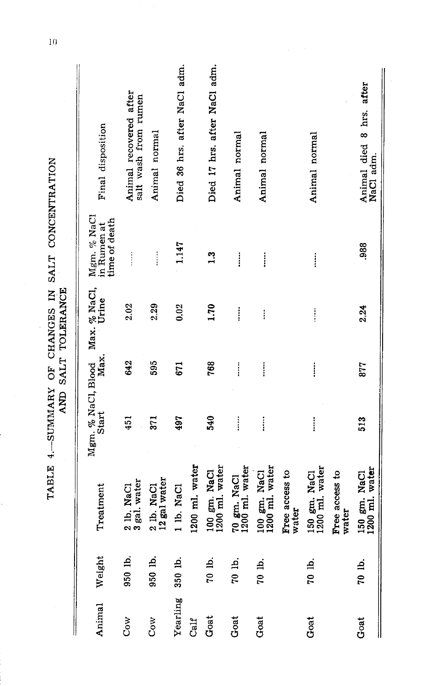|          |           |                                |                             |                                      | AND SALT TOLERANCE    |                                                                        |                                                |
|----------|-----------|--------------------------------|-----------------------------|--------------------------------------|-----------------------|------------------------------------------------------------------------|------------------------------------------------|
| Animal   | Weight    | Treatment                      | Mgm. % NaCl, Blood<br>Start | Max.                                 | Max. % NaCl,<br>Urine | Mgm. % NaCl<br>in Rumen at<br>time of death                            | Final disposition                              |
| Cow      | 950 lb.   | 2 lb. NaCl<br>3 gal. water     | 451                         | 642                                  | 2.02                  | $\ddot{}}$                                                             | Animal recovered after<br>salt wash from rumen |
| Cow      | 950 lb.   | 12 gal water<br>2 lb. NaCl     | 371                         | 595                                  | 2.29                  | $\begin{array}{c} \n\vdots \\ \vdots \\ \vdots \\ \vdots\n\end{array}$ | Animal normal                                  |
| Yearling | $350$ lb. | 1 lb. NaCl                     | 497                         | 671                                  | 0.02                  | 1.147                                                                  | Died 36 hrs. after NaCl adm.                   |
| Calf     |           | 1200 ml. water                 |                             |                                      |                       |                                                                        |                                                |
| Goat     | 70 lb.    | 100 gm. NaCl<br>1200 ml. water | 540                         | 768                                  | 1.70                  | 1.3                                                                    | Died 17 hrs. after NaCl adm.                   |
| Goat     | 70 lb.    | 70 gm. NaCl<br>1200 ml. water  | j                           | $\ddot{}}$                           | İ                     | $\vdots$                                                               | Animal normal                                  |
| Goat     | 70 lb.    | 100 gm. NaCl<br>1200 ml. water | İ                           | İ                                    | $\vdots$              | ļ                                                                      | Animal normal                                  |
|          |           | Free access to<br>water        |                             |                                      |                       |                                                                        |                                                |
| Goat     | 70 lb.    | 150 gm. NaCl<br>1200 ml. water | ļ                           | $\ddot{\ddot{\phantom{}}\phantom{}}$ | $\vdots$              | $\vdots$                                                               | Animal normal                                  |
|          |           | Free access to<br>water        |                             |                                      |                       |                                                                        |                                                |
| Goat     | 70 lb.    | 150 gm. NaCl<br>1200 ml. water | 513                         | 877                                  | 2.24                  | 988.                                                                   | Animal died 8 hrs. after<br>NaCl adm.          |
|          |           |                                |                             |                                      |                       |                                                                        |                                                |

TABLE 4.-SUMMARY OF CHANGES IN SALT CONCENTRATION

 $\overline{10}$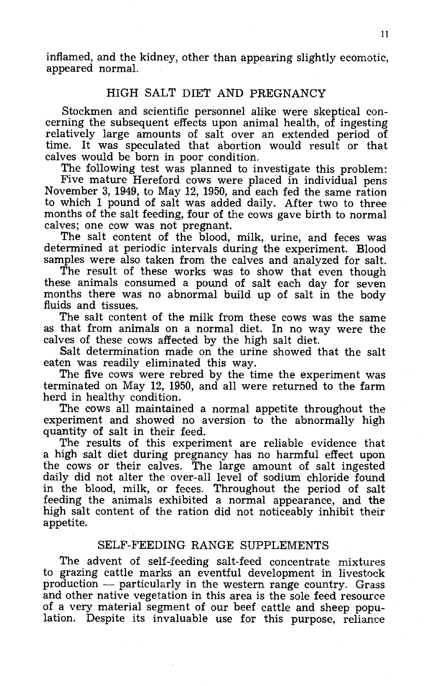inflamed, and the kidney, other than appearing slightly ecomotic, appeared normal.

### HIGH SALT DIET AND PREGNANCY

Stockmen and scientific personnel alike were skeptical con- cerning the subsequent effects upon animal health, of ingesting relatively large amounts of salt over an extended period of

calves would be born in poor condition.<br>The following test was planned to investigate this problem:<br>Five mature Hereford cows were placed in individual pens<br>November 3, 1949, to May 12, 1950, and each fed the same ration<br>t months of the salt feeding, four of the cows gave birth to normal calves; one cow was not pregnant.<br>The salt content of the blood, milk, urine, and feces was determined at periodic intervals during the experiment. Blood

samples were also taken from the calves and analyzed for salt. The result of these works was to show that even though

these animals consumed a pound of salt each day for seven months there was no abnormal build up of salt in the body fluids and tissues.

The salt content of the milk from these cows was the same as that from animals on a normal diet. In no way were the calves of these cows affected by the high salt diet.

Salt determination made on the urine showed that the salt eaten was readily eliminated this way.

The five cows were rebred by the time the experiment was. terminated on May 12, 1950, and all were returned to the farm herd in healthy condition.

The cows all maintained a normal appetite throughout the experiment and showed no aversion to the abnormally high quantity of salt in their feed.

The results of this experiment are reliable evidence that a high salt diet during pregnancy has no harmful effect upon the cows or their calves. The large amount of salt ingested daily did not alter the over -all level of sodium chloride found in the blood, milk, or feces. Throughout the period of salt feeding the animals exhibited a normal appearance, and the high salt content of the ration did not noticeably inhibit their appetite.

## SELF -FEEDING RANGE SUPPLEMENTS

The advent of self-feeding salt-feed concentrate mixtures to grazing cattle marks an eventful development in livestock and other native vegetation in this area is the sole feed resource of a very material segment of our beef cattle and sheep population. Despite its invaluable use for this purpose, reliance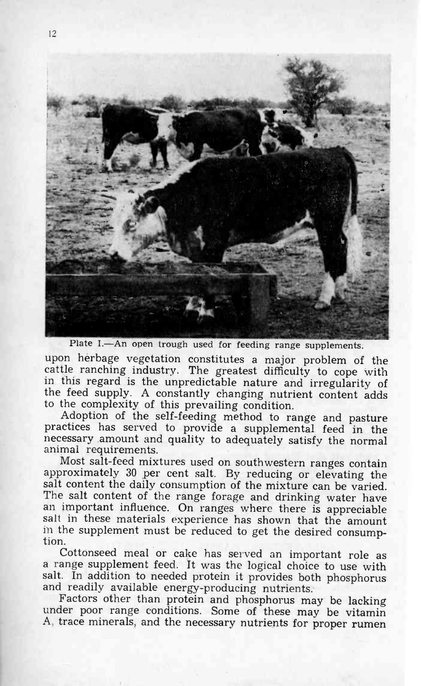

Plate I.—An open trough used for feeding range supplements.

upon herbage vegetation constitutes a major problem of the cattle ranching industry. The greatest difficulty to cope with in this regard is the unpredictable nature and irregularity of the feed supply. A constantly changing nutrient content adds to the complexity of this prevailing condition.

Adoption of the self-feeding method to range and pasture<br>practices has served to provide a supplemental feed in the<br>necessary amount and quality to adequately satisfy the normal<br>animal requirements.

Most salt -feed mixtures used on southwestern ranges contain approximately 30 per cent salt. By reducing or elevating the salt content the daily consumption of the mixture can be varied. The salt content of the range forage and drinking water have an important influence. On ranges where there is appreciable salt in these materials experience has shown that the amount in the supplement must be reduced to get the desired consumption.<br>Cottonseed meal or cake has served an important role as

a range supplement feed. It was the logical choice to use with salt. In addition to needed protein it provides both phosphorus

and readily available energy-producing nutrients.<br>Factors other than protein and phosphorus may be lacking<br>under poor range conditions. Some of these may be vitamin<br>A, trace minerals, and the necessary nutrients for proper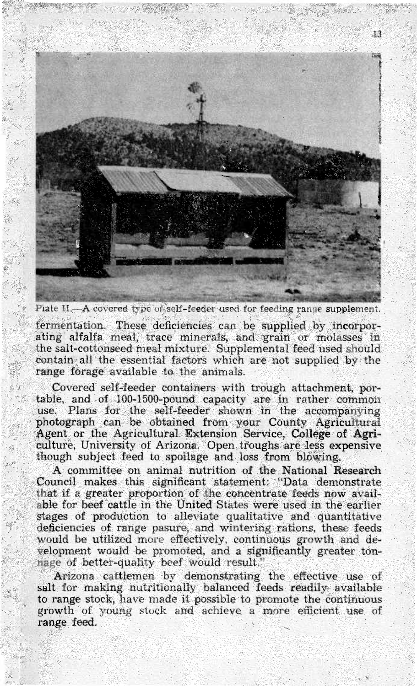

Plate H.-A covered type of self-feeder used for feeding range supplement.

fermentation. These deficiencies can be supplied by incorpor-<br>ating alfalfa meal, trace minerals, and grain or molasses in the salt -cottonseed meal mixture. Supplemental feed used should contain all the essential factors which are not supplied by the range forage available to the animals.

Covered self-feeder containers with trough attachment, portable, and of 100-1500-pound capacity are in rather common use. Plans for the self-feeder shown in the accompanying photograph can be obtained from your County Agricultural Agent or the Agricultural Extension Service, College of Agri-<br>culture, University of Arizona. Open troughs are less expensive though subject feed to spoilage and loss from blowing.

A committee on animal nutrition of the National Research Council makes this significant statement: "Data demonstrate that if a greater proportion of the concentrate feeds now avail-<br>able for beef cattle in the United States were used in the earlier<br>stages of production to alleviate qualitative and quantitative deficiencies of range pasure, and wintering rations, these feeds would be utilized more effectively, continuous growth and development would be promoted, and a significantly greater ton-<br>nage of better-quality beef would r

Arizona cattlemen by demonstrating the effective use of salt for making nutritionally balanced feeds readily available to range stock, have made it possible to promote the continuous growth of young stock and achieve a more efficient use of range feed.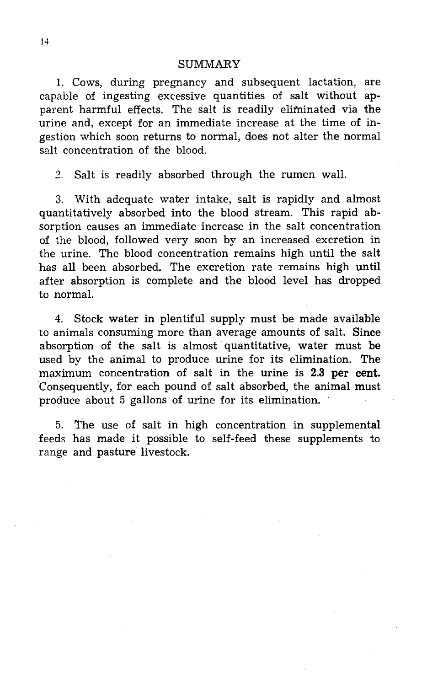#### **SUMMARY**

1. Cows, during pregnancy and subsequent lactation, are capable of ingesting excessive quantities of salt without apparent harmful effects. The salt is readily eliminated via the urine and, except for an immediate increase at the time of ingestion which soon returns to normal, does not alter the normal salt concentration of the blood.

2. Salt is readily absorbed through the rumen wall.

3. With adequate water intake, salt is rapidly and almost quantitatively absorbed into the blood stream. This rapid absorption causes an immediate increase in the salt concentration of the blood, followed very soon by an increased excretion in the urine. The blood concentration remains high until the salt has all been absorbed. The excretion rate remains high until after absorption is complete and the blood level has dropped to normal.

4. Stock water in plentiful supply must be made available to animals consuming more than average amounts of salt. Since absorption of the salt is almost quantitative, water must be used by the animal to produce urine for its elimination. The maximum concentration of salt in the urine is 2.3 per cent. Consequently, for each pound of salt absorbed, the animal must produce about 5 gallons of urine for its elimination.

5. The use of salt in high concentration in supplemental feeds has made it possible to self -feed these supplements to range and pasture livestock.